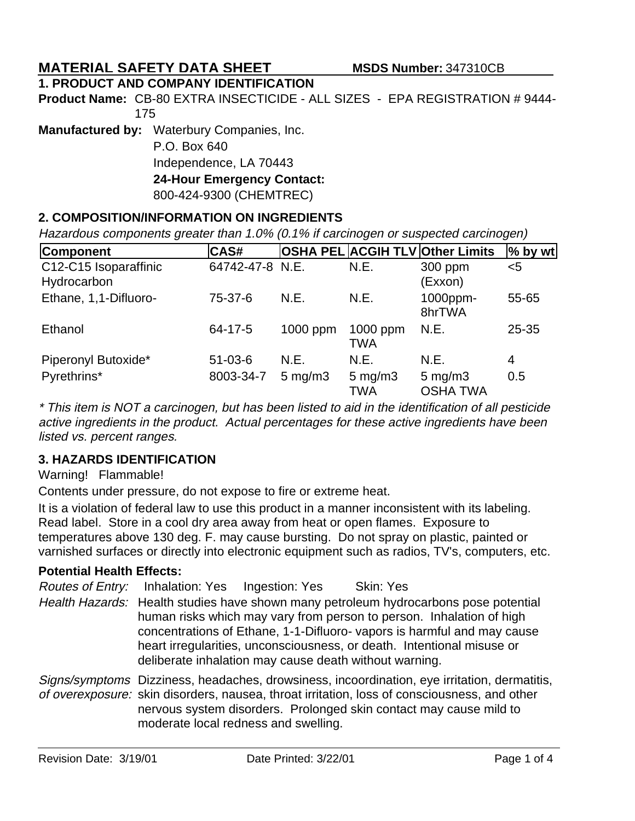# **MATERIAL SAFETY DATA SHEET MSDS Number:** 347310CB

### **1. PRODUCT AND COMPANY IDENTIFICATION**

Product Name: CB-80 EXTRA INSECTICIDE - ALL SIZES - EPA REGISTRATION # 9444-175

**Manufactured by:** Waterbury Companies, Inc.

P.O. Box 640 Independence, LA 70443 **24-Hour Emergency Contact:** 800-424-9300 (CHEMTREC)

### **2. COMPOSITION/INFORMATION ON INGREDIENTS**

Hazardous components greater than 1.0% (0.1% if carcinogen or suspected carcinogen)

| <b>Component</b>                     | CAS#            |                    |                                  | <b>OSHA PEL ACGIH TLV Other Limits</b> | $%$ by wt |
|--------------------------------------|-----------------|--------------------|----------------------------------|----------------------------------------|-----------|
| C12-C15 Isoparaffinic<br>Hydrocarbon | 64742-47-8 N.E. |                    | N.E.                             | 300 ppm<br>(Exxon)                     | $5$       |
| Ethane, 1,1-Difluoro-                | 75-37-6         | N.E.               | N.E.                             | 1000ppm-<br>8hrTWA                     | 55-65     |
| Ethanol                              | 64-17-5         | $1000$ ppm         | 1000 ppm<br>TWA                  | N.E.                                   | 25-35     |
| Piperonyl Butoxide*                  | $51 - 03 - 6$   | N.E.               | N.E.                             | N.E.                                   | 4         |
| Pyrethrins*                          | 8003-34-7       | $5 \text{ mg/m}$ 3 | $5 \text{ mg/m}$ 3<br><b>TWA</b> | $5 \text{ mg/m}$ 3<br><b>OSHA TWA</b>  | 0.5       |

\* This item is NOT a carcinogen, but has been listed to aid in the identification of all pesticide active ingredients in the product. Actual percentages for these active ingredients have been listed vs. percent ranges.

### **3. HAZARDS IDENTIFICATION**

### Warning! Flammable!

Contents under pressure, do not expose to fire or extreme heat.

It is a violation of federal law to use this product in a manner inconsistent with its labeling. Read label. Store in a cool dry area away from heat or open flames. Exposure to temperatures above 130 deg. F. may cause bursting. Do not spray on plastic, painted or varnished surfaces or directly into electronic equipment such as radios, TV's, computers, etc.

### **Potential Health Effects:**

Health Hazards: Health studies have shown many petroleum hydrocarbons pose potential human risks which may vary from person to person. Inhalation of high concentrations of Ethane, 1-1-Difluoro- vapors is harmful and may cause heart irregularities, unconsciousness, or death. Intentional misuse or deliberate inhalation may cause death without warning. Routes of Entry: Inhalation: Yes Ingestion: Yes Skin: Yes

Signs/symptoms Dizziness, headaches, drowsiness, incoordination, eye irritation, dermatitis, of overexposure: skin disorders, nausea, throat irritation, loss of consciousness, and other nervous system disorders. Prolonged skin contact may cause mild to moderate local redness and swelling.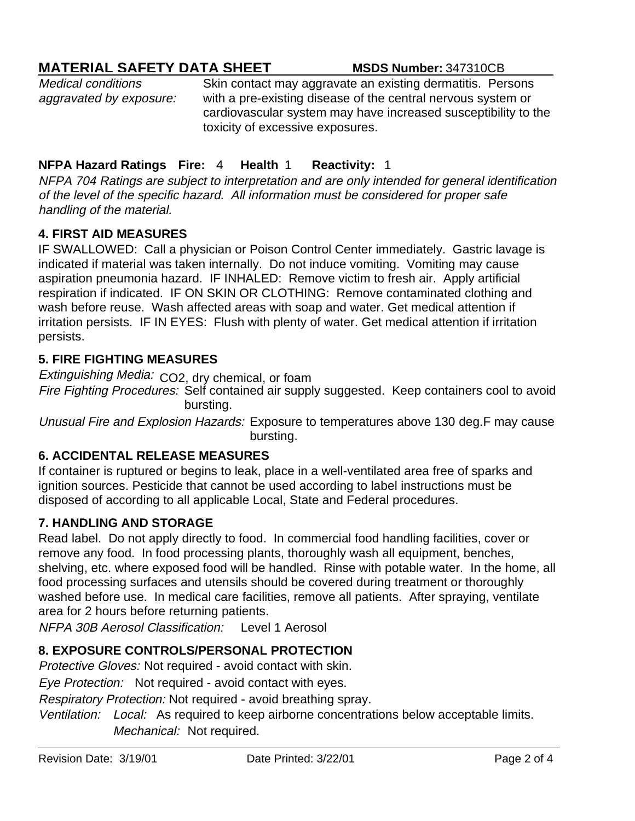# **MATERIAL SAFETY DATA SHEET MSDS Number:** 347310CB

Medical conditions aggravated by exposure: Skin contact may aggravate an existing dermatitis. Persons with a pre-existing disease of the central nervous system or cardiovascular system may have increased susceptibility to the toxicity of excessive exposures.

# **NFPA Hazard Ratings Fire:** 4 **Health** 1 **Reactivity:** 1

NFPA 704 Ratings are subject to interpretation and are only intended for general identification of the level of the specific hazard. All information must be considered for proper safe handling of the material.

## **4. FIRST AID MEASURES**

IF SWALLOWED: Call a physician or Poison Control Center immediately. Gastric lavage is indicated if material was taken internally. Do not induce vomiting. Vomiting may cause aspiration pneumonia hazard. IF INHALED: Remove victim to fresh air. Apply artificial respiration if indicated. IF ON SKIN OR CLOTHING: Remove contaminated clothing and wash before reuse. Wash affected areas with soap and water. Get medical attention if irritation persists. IF IN EYES: Flush with plenty of water. Get medical attention if irritation persists.

### **5. FIRE FIGHTING MEASURES**

Extinguishing Media: CO2, dry chemical, or foam

Fire Fighting Procedures: Self contained air supply suggested. Keep containers cool to avoid bursting.

Unusual Fire and Explosion Hazards: Exposure to temperatures above 130 deg.F may cause bursting.

### **6. ACCIDENTAL RELEASE MEASURES**

If container is ruptured or begins to leak, place in a well-ventilated area free of sparks and ignition sources. Pesticide that cannot be used according to label instructions must be disposed of according to all applicable Local, State and Federal procedures.

# **7. HANDLING AND STORAGE**

Read label. Do not apply directly to food. In commercial food handling facilities, cover or remove any food. In food processing plants, thoroughly wash all equipment, benches, shelving, etc. where exposed food will be handled. Rinse with potable water. In the home, all food processing surfaces and utensils should be covered during treatment or thoroughly washed before use. In medical care facilities, remove all patients. After spraying, ventilate area for 2 hours before returning patients.

 Level 1 Aerosol NFPA 30B Aerosol Classification:

# **8. EXPOSURE CONTROLS/PERSONAL PROTECTION**

Protective Gloves: Not required - avoid contact with skin.

Eye Protection: Not required - avoid contact with eyes.

Respiratory Protection: Not required - avoid breathing spray.

Ventilation: Local: As required to keep airborne concentrations below acceptable limits. Mechanical: Not required.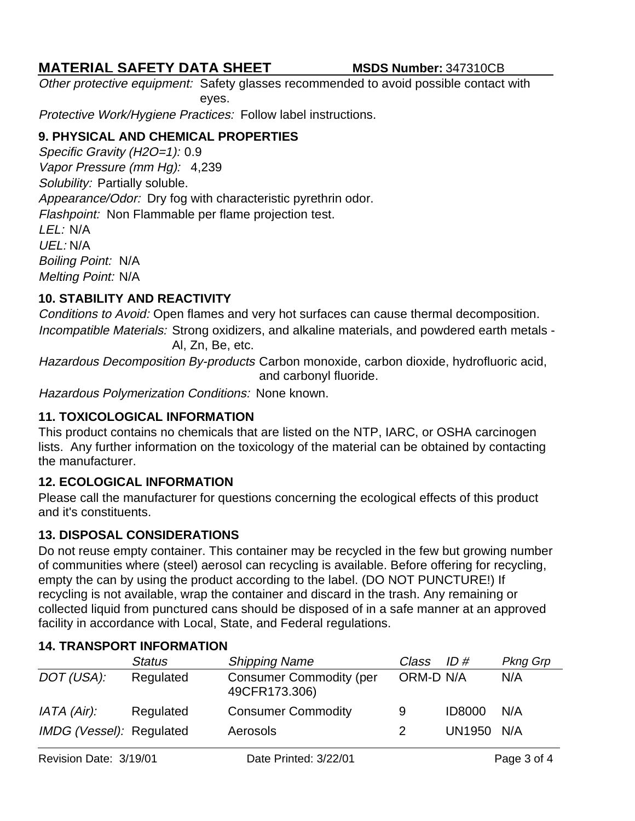# **MATERIAL SAFETY DATA SHEET MSDS Number:** 347310CB

Other protective equipment: Safety glasses recommended to avoid possible contact with eyes.

Protective Work/Hygiene Practices: Follow label instructions.

# **9. PHYSICAL AND CHEMICAL PROPERTIES**

Boiling Point: N/A Vapor Pressure (mm Hg): 4,239 Specific Gravity (H2O=1): 0.9 Melting Point: N/A Solubility: Partially soluble. Appearance/Odor: Dry fog with characteristic pyrethrin odor. Flashpoint: Non Flammable per flame projection test. LEL: N/A UEL: N/A

# **10. STABILITY AND REACTIVITY**

Conditions to Avoid: Open flames and very hot surfaces can cause thermal decomposition. Incompatible Materials: Strong oxidizers, and alkaline materials, and powdered earth metals - Al, Zn, Be, etc.

Hazardous Decomposition By-products Carbon monoxide, carbon dioxide, hydrofluoric acid, and carbonyl fluoride.

Hazardous Polymerization Conditions: None known.

# **11. TOXICOLOGICAL INFORMATION**

This product contains no chemicals that are listed on the NTP, IARC, or OSHA carcinogen lists. Any further information on the toxicology of the material can be obtained by contacting the manufacturer.

# **12. ECOLOGICAL INFORMATION**

Please call the manufacturer for questions concerning the ecological effects of this product and it's constituents.

# **13. DISPOSAL CONSIDERATIONS**

Do not reuse empty container. This container may be recycled in the few but growing number of communities where (steel) aerosol can recycling is available. Before offering for recycling, empty the can by using the product according to the label. (DO NOT PUNCTURE!) If recycling is not available, wrap the container and discard in the trash. Any remaining or collected liquid from punctured cans should be disposed of in a safe manner at an approved facility in accordance with Local, State, and Federal regulations.

|                          | <b>Status</b> | <b>Shipping Name</b>                            | Class     | ID#           | <b>Pkng Grp</b> |
|--------------------------|---------------|-------------------------------------------------|-----------|---------------|-----------------|
| DOT (USA):               | Regulated     | <b>Consumer Commodity (per</b><br>49CFR173.306) | ORM-D N/A |               | N/A             |
| IATA (Air):              | Regulated     | <b>Consumer Commodity</b>                       | 9         | <b>ID8000</b> | N/A             |
| IMDG (Vessel): Regulated |               | Aerosols                                        | 2.        | UN1950 N/A    |                 |

# **14. TRANSPORT INFORMATION**